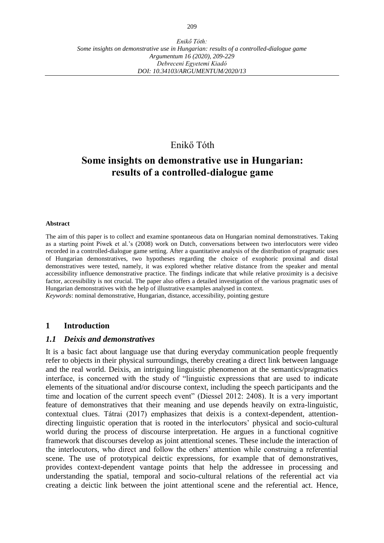# Enikő Tóth

# **Some insights on demonstrative use in Hungarian: results of a controlled-dialogue game**

#### **Abstract**

The aim of this paper is to collect and examine spontaneous data on Hungarian nominal demonstratives. Taking as a starting point Piwek et al.'s (2008) work on Dutch, conversations between two interlocutors were video recorded in a controlled-dialogue game setting. After a quantitative analysis of the distribution of pragmatic uses of Hungarian demonstratives, two hypotheses regarding the choice of exophoric proximal and distal demonstratives were tested, namely, it was explored whether relative distance from the speaker and mental accessibility influence demonstrative practice. The findings indicate that while relative proximity is a decisive factor, accessibility is not crucial. The paper also offers a detailed investigation of the various pragmatic uses of Hungarian demonstratives with the help of illustrative examples analysed in context.

*Keywords*: nominal demonstrative, Hungarian, distance, accessibility, pointing gesture

### **1 Introduction**

### *1.1 Deixis and demonstratives*

It is a basic fact about language use that during everyday communication people frequently refer to objects in their physical surroundings, thereby creating a direct link between language and the real world. Deixis, an intriguing linguistic phenomenon at the semantics/pragmatics interface, is concerned with the study of "linguistic expressions that are used to indicate elements of the situational and/or discourse context, including the speech participants and the time and location of the current speech event" (Diessel 2012: 2408). It is a very important feature of demonstratives that their meaning and use depends heavily on extra-linguistic, contextual clues. Tátrai (2017) emphasizes that deixis is a context-dependent, attentiondirecting linguistic operation that is rooted in the interlocutors' physical and socio-cultural world during the process of discourse interpretation. He argues in a functional cognitive framework that discourses develop as joint attentional scenes. These include the interaction of the interlocutors, who direct and follow the others' attention while construing a referential scene. The use of prototypical deictic expressions, for example that of demonstratives, provides context-dependent vantage points that help the addressee in processing and understanding the spatial, temporal and socio-cultural relations of the referential act via creating a deictic link between the joint attentional scene and the referential act. Hence,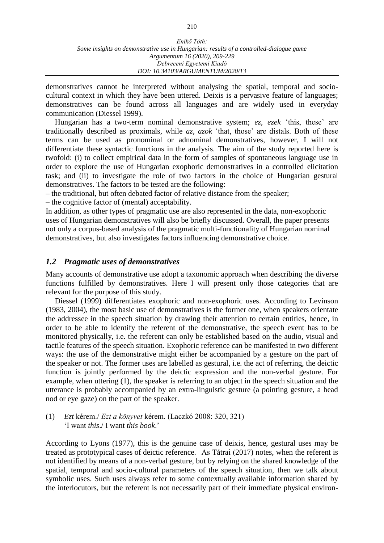| Enikő Tóth:                                                                            |
|----------------------------------------------------------------------------------------|
| Some insights on demonstrative use in Hungarian: results of a controlled-dialogue game |
| Argumentum 16 (2020), 209-229                                                          |
| Debreceni Egyetemi Kiadó                                                               |
| DOI: 10.34103/ARGUMENTUM/2020/13                                                       |

demonstratives cannot be interpreted without analysing the spatial, temporal and sociocultural context in which they have been uttered. Deixis is a pervasive feature of languages; demonstratives can be found across all languages and are widely used in everyday communication (Diessel 1999).

Hungarian has a two-term nominal demonstrative system; *ez, ezek* 'this, these' are traditionally described as proximals, while *az, azok* 'that, those' are distals. Both of these terms can be used as pronominal or adnominal demonstratives, however, I will not differentiate these syntactic functions in the analysis. The aim of the study reported here is twofold: (i) to collect empirical data in the form of samples of spontaneous language use in order to explore the use of Hungarian exophoric demonstratives in a controlled elicitation task; and (ii) to investigate the role of two factors in the choice of Hungarian gestural demonstratives. The factors to be tested are the following:

– the traditional, but often debated factor of relative distance from the speaker;

– the cognitive factor of (mental) acceptability.

In addition, as other types of pragmatic use are also represented in the data, non-exophoric uses of Hungarian demonstratives will also be briefly discussed. Overall, the paper presents not only a corpus-based analysis of the pragmatic multi-functionality of Hungarian nominal demonstratives, but also investigates factors influencing demonstrative choice.

# *1.2 Pragmatic uses of demonstratives*

Many accounts of demonstrative use adopt a taxonomic approach when describing the diverse functions fulfilled by demonstratives. Here I will present only those categories that are relevant for the purpose of this study.

Diessel (1999) differentiates exophoric and non-exophoric uses. According to Levinson (1983, 2004), the most basic use of demonstratives is the former one, when speakers orientate the addressee in the speech situation by drawing their attention to certain entities, hence, in order to be able to identify the referent of the demonstrative, the speech event has to be monitored physically, i.e. the referent can only be established based on the audio, visual and tactile features of the speech situation. Exophoric reference can be manifested in two different ways: the use of the demonstrative might either be accompanied by a gesture on the part of the speaker or not. The former uses are labelled as gestural, i.e. the act of referring, the deictic function is jointly performed by the deictic expression and the non-verbal gesture. For example, when uttering (1), the speaker is referring to an object in the speech situation and the utterance is probably accompanied by an extra-linguistic gesture (a pointing gesture, a head nod or eye gaze) on the part of the speaker.

# (1) *Ezt* kérem./ *Ezt a könyvet* kérem. (Laczkó 2008: 320, 321) 'I want *this*./ I want *this book*.'

According to Lyons (1977), this is the genuine case of deixis, hence, gestural uses may be treated as prototypical cases of deictic reference. As Tátrai (2017) notes, when the referent is not identified by means of a non-verbal gesture, but by relying on the shared knowledge of the spatial, temporal and socio-cultural parameters of the speech situation, then we talk about symbolic uses. Such uses always refer to some contextually available information shared by the interlocutors, but the referent is not necessarily part of their immediate physical environ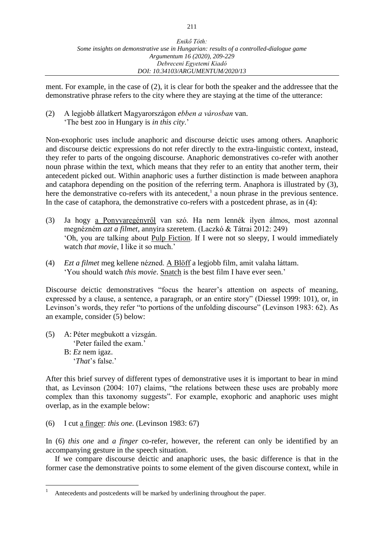ment. For example, in the case of (2), it is clear for both the speaker and the addressee that the demonstrative phrase refers to the city where they are staying at the time of the utterance:

(2) A legjobb állatkert Magyarországon *ebben a városban* van. 'The best zoo in Hungary is *in this city*.'

Non-exophoric uses include anaphoric and discourse deictic uses among others. Anaphoric and discourse deictic expressions do not refer directly to the extra-linguistic context, instead, they refer to parts of the ongoing discourse. Anaphoric demonstratives co-refer with another noun phrase within the text, which means that they refer to an entity that another term, their antecedent picked out. Within anaphoric uses a further distinction is made between anaphora and cataphora depending on the position of the referring term. Anaphora is illustrated by (3), here the demonstrative co-refers with its antecedent,<sup>1</sup> a noun phrase in the previous sentence. In the case of cataphora, the demonstrative co-refers with a postcedent phrase, as in (4):

- (3) Ja hogy a Ponyvaregényről van szó. Ha nem lennék ilyen álmos, most azonnal megnézném *azt a filmet*, annyira szeretem. (Laczkó & Tátrai 2012: 249) 'Oh, you are talking about Pulp Fiction. If I were not so sleepy, I would immediately watch *that movie*, I like it so much.'
- (4) *Ezt a filmet* meg kellene nézned. A Blöff a legjobb film, amit valaha láttam. 'You should watch *this movie*. Snatch is the best film I have ever seen.'

Discourse deictic demonstratives "focus the hearer's attention on aspects of meaning, expressed by a clause, a sentence, a paragraph, or an entire story" (Diessel 1999: 101), or, in Levinson's words, they refer "to portions of the unfolding discourse" (Levinson 1983: 62). As an example, consider (5) below:

(5) A: Péter megbukott a vizsgán. 'Peter failed the exam.' B: *Ez* nem igaz. '*That*'s false.'

 $\overline{a}$ 

After this brief survey of different types of demonstrative uses it is important to bear in mind that, as Levinson (2004: 107) claims, "the relations between these uses are probably more complex than this taxonomy suggests". For example, exophoric and anaphoric uses might overlap, as in the example below:

(6) I cut a finger: *this one*. (Levinson 1983: 67)

In (6) *this one* and *a finger* co-refer, however, the referent can only be identified by an accompanying gesture in the speech situation.

If we compare discourse deictic and anaphoric uses, the basic difference is that in the former case the demonstrative points to some element of the given discourse context, while in

Antecedents and postcedents will be marked by underlining throughout the paper.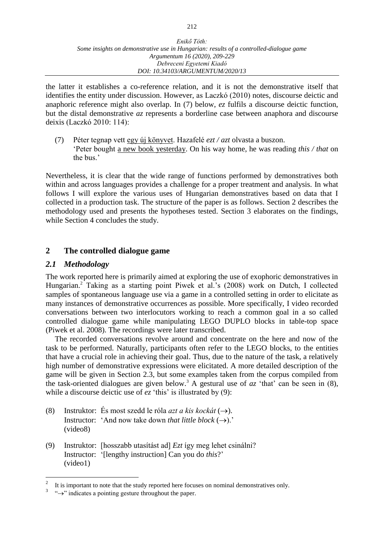the latter it establishes a co-reference relation, and it is not the demonstrative itself that identifies the entity under discussion. However, as Laczkó (2010) notes, discourse deictic and anaphoric reference might also overlap. In (7) below, *ez* fulfils a discourse deictic function, but the distal demonstrative *az* represents a borderline case between anaphora and discourse deixis (Laczkó 2010: 114):

(7) Péter tegnap vett egy új könyvet. Hazafelé *ezt / azt* olvasta a buszon. 'Peter bought a new book yesterday. On his way home, he was reading *this / that* on the bus.'

Nevertheless, it is clear that the wide range of functions performed by demonstratives both within and across languages provides a challenge for a proper treatment and analysis. In what follows I will explore the various uses of Hungarian demonstratives based on data that I collected in a production task. The structure of the paper is as follows. Section 2 describes the methodology used and presents the hypotheses tested. Section 3 elaborates on the findings, while Section 4 concludes the study.

# **2 The controlled dialogue game**

# *2.1 Methodology*

The work reported here is primarily aimed at exploring the use of exophoric demonstratives in Hungarian.<sup>2</sup> Taking as a starting point Piwek et al.'s (2008) work on Dutch, I collected samples of spontaneous language use via a game in a controlled setting in order to elicitate as many instances of demonstrative occurrences as possible. More specifically, I video recorded conversations between two interlocutors working to reach a common goal in a so called controlled dialogue game while manipulating LEGO DUPLO blocks in table-top space (Piwek et al. 2008). The recordings were later transcribed.

The recorded conversations revolve around and concentrate on the here and now of the task to be performed. Naturally, participants often refer to the LEGO blocks, to the entities that have a crucial role in achieving their goal. Thus, due to the nature of the task, a relatively high number of demonstrative expressions were elicitated. A more detailed description of the game will be given in Section 2.3, but some examples taken from the corpus compiled from the task-oriented dialogues are given below.<sup>3</sup> A gestural use of  $az$  'that' can be seen in (8), while a discourse deictic use of  $ez$  'this' is illustrated by (9):

- (8) Instruktor: És most szedd le róla *azt a kis kockát*  $(\rightarrow)$ . Instructor: 'And now take down *that little block*  $(\rightarrow)$ .' (video8)
- (9) Instruktor: [hosszabb utasítást ad] *Ezt* így meg lehet csinálni? Instructor: '[lengthy instruction] Can you do *this*?' (video1)

 $\frac{1}{2}$ It is important to note that the study reported here focuses on nominal demonstratives only.

<sup>3</sup> " $\rightarrow$ " indicates a pointing gesture throughout the paper.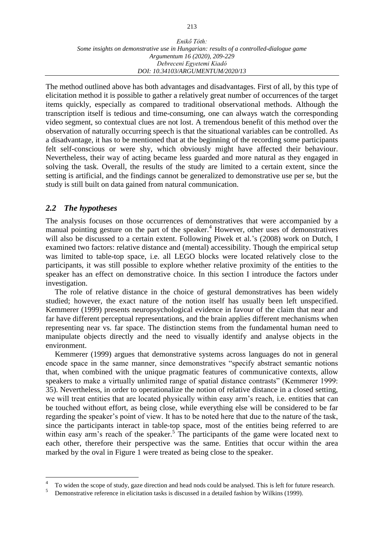The method outlined above has both advantages and disadvantages. First of all, by this type of elicitation method it is possible to gather a relatively great number of occurrences of the target items quickly, especially as compared to traditional observational methods. Although the transcription itself is tedious and time-consuming, one can always watch the corresponding video segment, so contextual clues are not lost. A tremendous benefit of this method over the observation of naturally occurring speech is that the situational variables can be controlled. As a disadvantage, it has to be mentioned that at the beginning of the recording some participants felt self-conscious or were shy, which obviously might have affected their behaviour. Nevertheless, their way of acting became less guarded and more natural as they engaged in solving the task. Overall, the results of the study are limited to a certain extent, since the setting is artificial, and the findings cannot be generalized to demonstrative use per se, but the study is still built on data gained from natural communication.

# *2.2 The hypotheses*

 $\overline{a}$ 

The analysis focuses on those occurrences of demonstratives that were accompanied by a manual pointing gesture on the part of the speaker.<sup>4</sup> However, other uses of demonstratives will also be discussed to a certain extent. Following Piwek et al.'s (2008) work on Dutch, I examined two factors: relative distance and (mental) accessibility. Though the empirical setup was limited to table-top space, i.e. all LEGO blocks were located relatively close to the participants, it was still possible to explore whether relative proximity of the entities to the speaker has an effect on demonstrative choice. In this section I introduce the factors under investigation.

The role of relative distance in the choice of gestural demonstratives has been widely studied; however, the exact nature of the notion itself has usually been left unspecified. Kemmerer (1999) presents neuropsychological evidence in favour of the claim that near and far have different perceptual representations, and the brain applies different mechanisms when representing near vs. far space. The distinction stems from the fundamental human need to manipulate objects directly and the need to visually identify and analyse objects in the environment.

Kemmerer (1999) argues that demonstrative systems across languages do not in general encode space in the same manner, since demonstratives "specify abstract semantic notions that, when combined with the unique pragmatic features of communicative contexts, allow speakers to make a virtually unlimited range of spatial distance contrasts" (Kemmerer 1999: 35). Nevertheless, in order to operationalize the notion of relative distance in a closed setting, we will treat entities that are located physically within easy arm's reach, i.e. entities that can be touched without effort, as being close, while everything else will be considered to be far regarding the speaker's point of view. It has to be noted here that due to the nature of the task, since the participants interact in table-top space, most of the entities being referred to are within easy arm's reach of the speaker.<sup>5</sup> The participants of the game were located next to each other, therefore their perspective was the same. Entities that occur within the area marked by the oval in Figure 1 were treated as being close to the speaker.

<sup>4</sup> To widen the scope of study, gaze direction and head nods could be analysed. This is left for future research.

<sup>5</sup> Demonstrative reference in elicitation tasks is discussed in a detailed fashion by Wilkins (1999).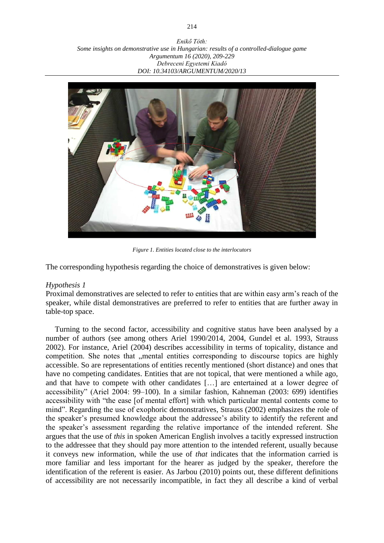*Enikő Tóth: Some insights on demonstrative use in Hungarian: results of a controlled-dialogue game Argumentum 16 (2020), 209-229 Debreceni Egyetemi Kiadó DOI: 10.34103/ARGUMENTUM/2020/13*



*Figure 1. Entities located close to the interlocutors*

The corresponding hypothesis regarding the choice of demonstratives is given below:

# *Hypothesis 1*

Proximal demonstratives are selected to refer to entities that are within easy arm's reach of the speaker, while distal demonstratives are preferred to refer to entities that are further away in table-top space.

Turning to the second factor, accessibility and cognitive status have been analysed by a number of authors (see among others Ariel 1990/2014, 2004, Gundel et al. 1993, Strauss 2002). For instance, Ariel (2004) describes accessibility in terms of topicality, distance and competition. She notes that "mental entities corresponding to discourse topics are highly accessible. So are representations of entities recently mentioned (short distance) and ones that have no competing candidates. Entities that are not topical, that were mentioned a while ago, and that have to compete with other candidates […] are entertained at a lower degree of accessibility" (Ariel 2004: 99–100). In a similar fashion, Kahneman (2003: 699) identifies accessibility with "the ease [of mental effort] with which particular mental contents come to mind". Regarding the use of exophoric demonstratives, Strauss (2002) emphasizes the role of the speaker's presumed knowledge about the addressee's ability to identify the referent and the speaker's assessment regarding the relative importance of the intended referent. She argues that the use of *this* in spoken American English involves a tacitly expressed instruction to the addressee that they should pay more attention to the intended referent, usually because it conveys new information, while the use of *that* indicates that the information carried is more familiar and less important for the hearer as judged by the speaker, therefore the identification of the referent is easier. As Jarbou (2010) points out, these different definitions of accessibility are not necessarily incompatible, in fact they all describe a kind of verbal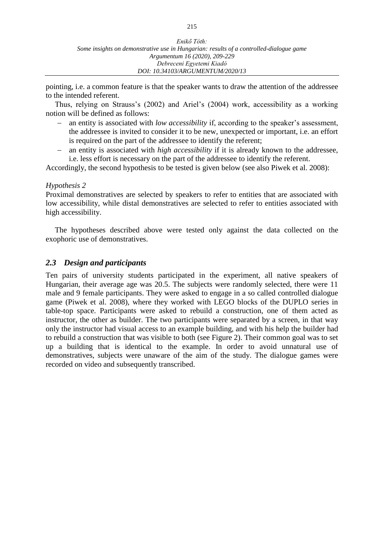pointing, i.e. a common feature is that the speaker wants to draw the attention of the addressee to the intended referent.

Thus, relying on Strauss's (2002) and Ariel's (2004) work, accessibility as a working notion will be defined as follows:

- an entity is associated with *low accessibility* if, according to the speaker's assessment, the addressee is invited to consider it to be new, unexpected or important, i.e. an effort is required on the part of the addressee to identify the referent;
- an entity is associated with *high accessibility* if it is already known to the addressee, i.e. less effort is necessary on the part of the addressee to identify the referent.

Accordingly, the second hypothesis to be tested is given below (see also Piwek et al. 2008):

### *Hypothesis 2*

Proximal demonstratives are selected by speakers to refer to entities that are associated with low accessibility, while distal demonstratives are selected to refer to entities associated with high accessibility.

The hypotheses described above were tested only against the data collected on the exophoric use of demonstratives.

# *2.3 Design and participants*

Ten pairs of university students participated in the experiment, all native speakers of Hungarian, their average age was 20.5. The subjects were randomly selected, there were 11 male and 9 female participants. They were asked to engage in a so called controlled dialogue game (Piwek et al. 2008), where they worked with LEGO blocks of the DUPLO series in table-top space. Participants were asked to rebuild a construction, one of them acted as instructor, the other as builder. The two participants were separated by a screen, in that way only the instructor had visual access to an example building, and with his help the builder had to rebuild a construction that was visible to both (see Figure 2). Their common goal was to set up a building that is identical to the example. In order to avoid unnatural use of demonstratives, subjects were unaware of the aim of the study. The dialogue games were recorded on video and subsequently transcribed.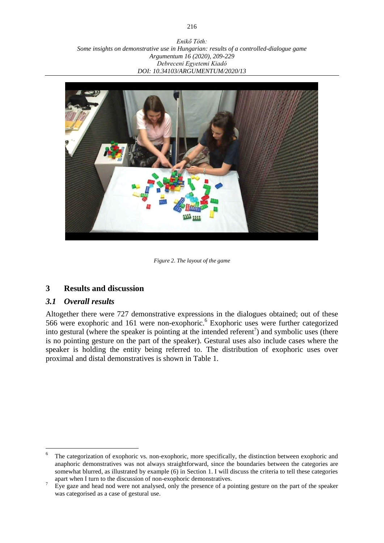*Enikő Tóth: Some insights on demonstrative use in Hungarian: results of a controlled-dialogue game Argumentum 16 (2020), 209-229 Debreceni Egyetemi Kiadó DOI: 10.34103/ARGUMENTUM/2020/13*



*Figure 2. The layout of the game*

# **3 Results and discussion**

# *3.1 Overall results*

 $\overline{a}$ 

Altogether there were 727 demonstrative expressions in the dialogues obtained; out of these 566 were exophoric and 161 were non-exophoric. 6 Exophoric uses were further categorized into gestural (where the speaker is pointing at the intended referent<sup>7</sup>) and symbolic uses (there is no pointing gesture on the part of the speaker). Gestural uses also include cases where the speaker is holding the entity being referred to. The distribution of exophoric uses over proximal and distal demonstratives is shown in Table 1.

<sup>6</sup> The categorization of exophoric vs. non-exophoric, more specifically, the distinction between exophoric and anaphoric demonstratives was not always straightforward, since the boundaries between the categories are somewhat blurred, as illustrated by example (6) in Section 1. I will discuss the criteria to tell these categories apart when I turn to the discussion of non-exophoric demonstratives.

 $\bar{7}$  Eye gaze and head nod were not analysed, only the presence of a pointing gesture on the part of the speaker was categorised as a case of gestural use.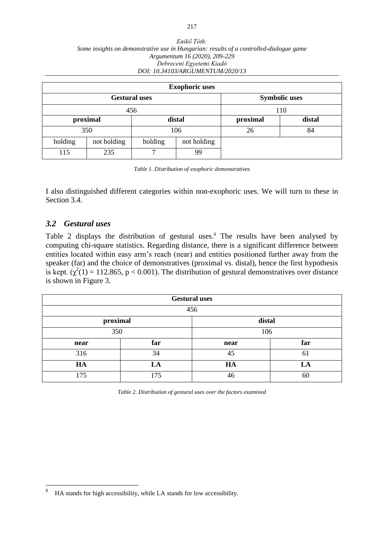#### *Enikő Tóth: Some insights on demonstrative use in Hungarian: results of a controlled-dialogue game Argumentum 16 (2020), 209-229 Debreceni Egyetemi Kiadó DOI: 10.34103/ARGUMENTUM/2020/13*

|                      |             |         | <b>Exophoric uses</b> |          |        |
|----------------------|-------------|---------|-----------------------|----------|--------|
| <b>Gestural uses</b> |             |         | <b>Symbolic uses</b>  |          |        |
| 456                  |             |         | 110                   |          |        |
|                      | proximal    | distal  |                       | proximal | distal |
| 350                  |             | 106     |                       | 26       | 84     |
| holding              | not holding | holding | not holding           |          |        |
| 115                  | 235         |         | 99                    |          |        |

*Table 1. Distribution of exophoric demonstratives*

I also distinguished different categories within non-exophoric uses. We will turn to these in Section 3.4.

# *3.2 Gestural uses*

Table 2 displays the distribution of gestural uses.<sup>8</sup> The results have been analysed by computing chi-square statistics. Regarding distance, there is a significant difference between entities located within easy arm's reach (near) and entities positioned further away from the speaker (far) and the choice of demonstratives (proximal vs. distal), hence the first hypothesis is kept.  $(\chi^2(1) = 112.865, p < 0.001)$ . The distribution of gestural demonstratives over distance is shown in Figure 3.

|          |     | <b>Gestural uses</b> |     |  |
|----------|-----|----------------------|-----|--|
|          |     | 456                  |     |  |
| proximal |     | distal               |     |  |
| 350      |     | 106                  |     |  |
| near     | far | near                 | far |  |
| 316      | 34  | 45                   | 61  |  |
| HA       | LA  | HA                   | LA  |  |
| 175      | 175 | 46                   | 60  |  |

*Table 2. Distribution of gestural uses over the factors examined*

<sup>8</sup> HA stands for high accessibility, while LA stands for low accessibility.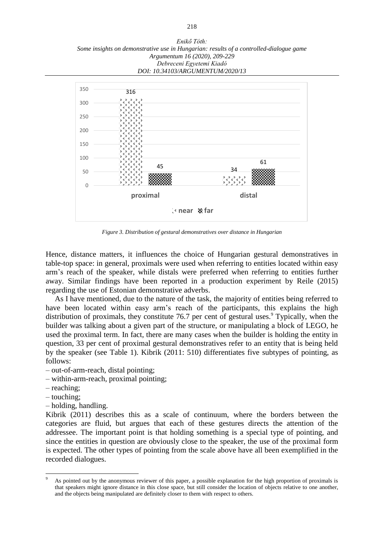*Enikő Tóth: Some insights on demonstrative use in Hungarian: results of a controlled-dialogue game Argumentum 16 (2020), 209-229 Debreceni Egyetemi Kiadó DOI: 10.34103/ARGUMENTUM/2020/13*



*Figure 3. Distribution of gestural demonstratives over distance in Hungarian*

Hence, distance matters, it influences the choice of Hungarian gestural demonstratives in table-top space: in general, proximals were used when referring to entities located within easy arm's reach of the speaker, while distals were preferred when referring to entities further away. Similar findings have been reported in a production experiment by Reile (2015) regarding the use of Estonian demonstrative adverbs.

As I have mentioned, due to the nature of the task, the majority of entities being referred to have been located within easy arm's reach of the participants, this explains the high distribution of proximals, they constitute 76.7 per cent of gestural uses. $\degree$  Typically, when the builder was talking about a given part of the structure, or manipulating a block of LEGO, he used the proximal term. In fact, there are many cases when the builder is holding the entity in question, 33 per cent of proximal gestural demonstratives refer to an entity that is being held by the speaker (see Table 1). Kibrik (2011: 510) differentiates five subtypes of pointing, as follows:

- out-of-arm-reach, distal pointing;
- within-arm-reach, proximal pointing;
- reaching;
- touching;

 $\overline{a}$ 

– holding, handling.

Kibrik (2011) describes this as a scale of continuum, where the borders between the categories are fluid, but argues that each of these gestures directs the attention of the addressee. The important point is that holding something is a special type of pointing, and since the entities in question are obviously close to the speaker, the use of the proximal form is expected. The other types of pointing from the scale above have all been exemplified in the recorded dialogues.

As pointed out by the anonymous reviewer of this paper, a possible explanation for the high proportion of proximals is that speakers might ignore distance in this close space, but still consider the location of objects relative to one another, and the objects being manipulated are definitely closer to them with respect to others.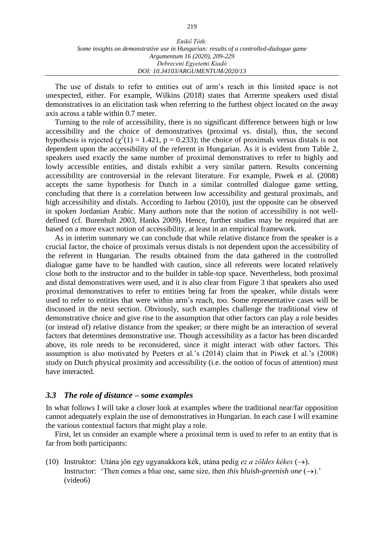| Enikő Tóth:                                                                            |
|----------------------------------------------------------------------------------------|
| Some insights on demonstrative use in Hungarian: results of a controlled-dialogue game |
| Argumentum 16 (2020), 209-229                                                          |
| Debreceni Egyetemi Kiadó                                                               |
| DOI: 10.34103/ARGUMENTUM/2020/13                                                       |

The use of distals to refer to entities out of arm's reach in this limited space is not unexpected, either. For example, Wilkins (2018) states that Arrernte speakers used distal demonstratives in an elicitation task when referring to the furthest object located on the away axis across a table within 0.7 meter.

Turning to the role of accessibility, there is no significant difference between high or low accessibility and the choice of demonstratives (proximal vs. distal), thus, the second hypothesis is rejected ( $\chi^2(1) = 1.421$ ,  $p = 0.233$ ); the choice of proximals versus distals is not dependent upon the accessibility of the referent in Hungarian. As it is evident from Table 2, speakers used exactly the same number of proximal demonstratives to refer to highly and lowly accessible entities, and distals exhibit a very similar pattern. Results concerning accessibility are controversial in the relevant literature. For example, Piwek et al. (2008) accepts the same hypothesis for Dutch in a similar controlled dialogue game setting, concluding that there is a correlation between low accessibility and gestural proximals, and high accessibility and distals. According to Jarbou (2010), just the opposite can be observed in spoken Jordanian Arabic. Many authors note that the notion of accessibility is not welldefined (cf. Burenhult 2003, Hanks 2009). Hence, further studies may be required that are based on a more exact notion of accessibility, at least in an empirical framework.

As in interim summary we can conclude that while relative distance from the speaker is a crucial factor, the choice of proximals versus distals is not dependent upon the accessibility of the referent in Hungarian. The results obtained from the data gathered in the controlled dialogue game have to be handled with caution, since all referents were located relatively close both to the instructor and to the builder in table-top space. Nevertheless, both proximal and distal demonstratives were used, and it is also clear from Figure 3 that speakers also used proximal demonstratives to refer to entities being far from the speaker, while distals were used to refer to entities that were within arm's reach, too. Some representative cases will be discussed in the next section. Obviously, such examples challenge the traditional view of demonstrative choice and give rise to the assumption that other factors can play a role besides (or instead of) relative distance from the speaker; or there might be an interaction of several factors that determines demonstrative use. Though accessibility as a factor has been discarded above, its role needs to be reconsidered, since it might interact with other factors. This assumption is also motivated by Peeters et al.'s (2014) claim that in Piwek et al.'s (2008) study on Dutch physical proximity and accessibility (i.e. the notion of focus of attention) must have interacted.

### *3.3 The role of distance – some examples*

In what follows I will take a closer look at examples where the traditional near/far opposition cannot adequately explain the use of demonstratives in Hungarian. In each case I will examine the various contextual factors that might play a role.

First, let us consider an example where a proximal term is used to refer to an entity that is far from both participants:

(10) Instruktor: Utána jön egy ugyanakkora kék, utána pedig *ez a zöldes kékes*  $(\rightarrow)$ . Instructor: 'Then comes a blue one, same size, then *this bluish-greenish one*  $(\rightarrow)$ .' (video6)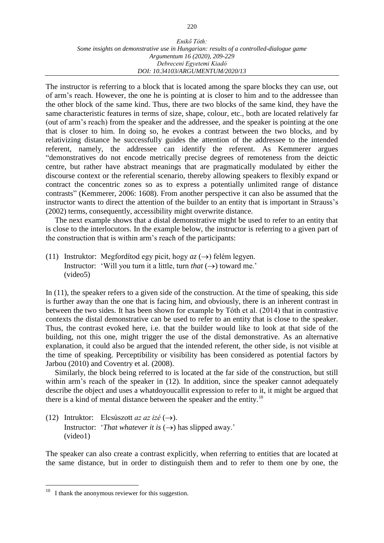#### *Enikő Tóth: Some insights on demonstrative use in Hungarian: results of a controlled-dialogue game Argumentum 16 (2020), 209-229 Debreceni Egyetemi Kiadó DOI: 10.34103/ARGUMENTUM/2020/13*

The instructor is referring to a block that is located among the spare blocks they can use, out of arm's reach. However, the one he is pointing at is closer to him and to the addressee than the other block of the same kind. Thus, there are two blocks of the same kind, they have the same characteristic features in terms of size, shape, colour, etc., both are located relatively far (out of arm's reach) from the speaker and the addressee, and the speaker is pointing at the one that is closer to him. In doing so, he evokes a contrast between the two blocks, and by relativizing distance he successfully guides the attention of the addressee to the intended referent, namely, the addressee can identify the referent. As Kemmerer argues "demonstratives do not encode metrically precise degrees of remoteness from the deictic centre, but rather have abstract meanings that are pragmatically modulated by either the discourse context or the referential scenario, thereby allowing speakers to flexibly expand or contract the concentric zones so as to express a potentially unlimited range of distance contrasts" (Kemmerer, 2006: 1608). From another perspective it can also be assumed that the instructor wants to direct the attention of the builder to an entity that is important in Strauss's (2002) terms, consequently, accessibility might overwrite distance.

The next example shows that a distal demonstrative might be used to refer to an entity that is close to the interlocutors. In the example below, the instructor is referring to a given part of the construction that is within arm's reach of the participants:

(11) Instruktor: Megfordítod egy picit, hogy  $az \rightarrow$ ) felém legyen. Instructor: 'Will you turn it a little, turn *that*  $(\rightarrow)$  toward me.' (video5)

In (11), the speaker refers to a given side of the construction. At the time of speaking, this side is further away than the one that is facing him, and obviously, there is an inherent contrast in between the two sides. It has been shown for example by Tóth et al. (2014) that in contrastive contexts the distal demonstrative can be used to refer to an entity that is close to the speaker. Thus, the contrast evoked here, i.e. that the builder would like to look at that side of the building, not this one, might trigger the use of the distal demonstrative. As an alternative explanation, it could also be argued that the intended referent, the other side, is not visible at the time of speaking. Perceptibility or visibility has been considered as potential factors by Jarbou (2010) and Coventry et al. (2008).

Similarly, the block being referred to is located at the far side of the construction, but still within arm's reach of the speaker in  $(12)$ . In addition, since the speaker cannot adequately describe the object and uses a whatdoyoucallit expression to refer to it, it might be argued that there is a kind of mental distance between the speaker and the entity.<sup>10</sup>

(12) Intruktor: Elcsúszott *az az izé*  $(\rightarrow)$ . Instructor: '*That whatever it is*  $(\rightarrow)$  has slipped away.' (video1)

The speaker can also create a contrast explicitly, when referring to entities that are located at the same distance, but in order to distinguish them and to refer to them one by one, the

 $10\,$ I thank the anonymous reviewer for this suggestion.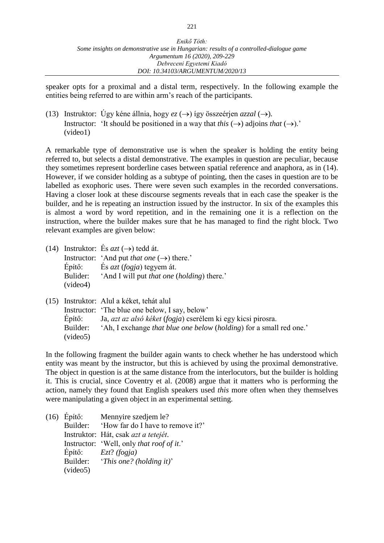speaker opts for a proximal and a distal term, respectively. In the following example the entities being referred to are within arm's reach of the participants.

(13) Instruktor: Úgy kéne állnia, hogy  $ez \rightarrow$ ) így összeérjen *azzal* ( $\rightarrow$ ). Instructor: 'It should be positioned in a way that *this*  $(\rightarrow)$  adjoins *that*  $(\rightarrow)$ .' (video1)

A remarkable type of demonstrative use is when the speaker is holding the entity being referred to, but selects a distal demonstrative. The examples in question are peculiar, because they sometimes represent borderline cases between spatial reference and anaphora, as in (14). However, if we consider holding as a subtype of pointing, then the cases in question are to be labelled as exophoric uses. There were seven such examples in the recorded conversations. Having a closer look at these discourse segments reveals that in each case the speaker is the builder, and he is repeating an instruction issued by the instructor. In six of the examples this is almost a word by word repetition, and in the remaining one it is a reflection on the instruction, where the builder makes sure that he has managed to find the right block. Two relevant examples are given below:

(14) Instruktor: És  $azt \rightarrow$ ) tedd át.

Instructor: 'And put *that one*  $(\rightarrow)$  there.' Építő: És *azt* (*fogja*) tegyem át. Bulider: 'And I will put *that one* (*holding*) there.' (video4)

|                      | (15) Instruktor: Alul a kéket, tehát alul                                  |
|----------------------|----------------------------------------------------------------------------|
|                      | Instructor: 'The blue one below, I say, below'                             |
| Epítő:               | Ja, azt az alsó kéket (fogja) cserélem ki egy kicsi pirosra.               |
| Builder:<br>(video5) | 'Ah, I exchange <i>that blue one below (holding)</i> for a small red one.' |
|                      |                                                                            |

In the following fragment the builder again wants to check whether he has understood which entity was meant by the instructor, but this is achieved by using the proximal demonstrative. The object in question is at the same distance from the interlocutors, but the builder is holding it. This is crucial, since Coventry et al. (2008) argue that it matters who is performing the action, namely they found that English speakers used *this* more often when they themselves were manipulating a given object in an experimental setting.

|          | Mennyire szedjem le?                       |
|----------|--------------------------------------------|
|          | Builder: 'How far do I have to remove it?' |
|          | Instruktor: Hát, csak azt a tetejét.       |
|          | Instructor: 'Well, only that roof of it.'  |
|          | $Epit\ddot{o}$ : $Ezt$ ? (fogja)           |
|          | Builder: 'This one? (holding it)'          |
| (video5) |                                            |
|          | $(16)$ Epítő:                              |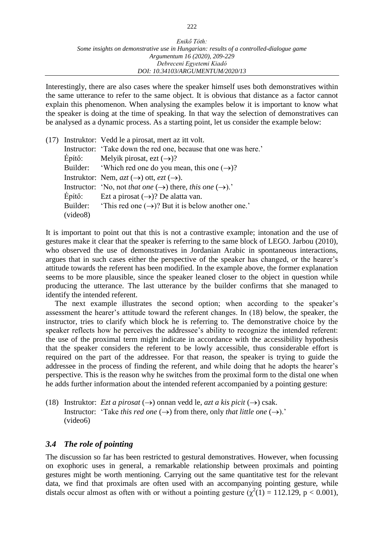Interestingly, there are also cases where the speaker himself uses both demonstratives within the same utterance to refer to the same object. It is obvious that distance as a factor cannot explain this phenomenon. When analysing the examples below it is important to know what the speaker is doing at the time of speaking. In that way the selection of demonstratives can be analysed as a dynamic process. As a starting point, let us consider the example below:

|          | (17) Instruktor: Vedd le a pirosat, mert az itt volt.                            |
|----------|----------------------------------------------------------------------------------|
|          | Instructor: 'Take down the red one, because that one was here.'                  |
|          | Epítő: Melyik pirosat, ezt $(\rightarrow)$ ?                                     |
|          | Builder: 'Which red one do you mean, this one $(\rightarrow)$ ?                  |
|          | Instruktor: Nem, $azt$ $(\rightarrow)$ ott, $ezt$ $(\rightarrow)$ .              |
|          | Instructor: 'No, not that one $(\rightarrow)$ there, this one $(\rightarrow)$ .' |
|          | Epítő: Ezt a pirosat $(\rightarrow)$ ? De alatta van.                            |
|          | Builder: 'This red one $(\rightarrow)$ ? But it is below another one.'           |
| (video8) |                                                                                  |

It is important to point out that this is not a contrastive example; intonation and the use of gestures make it clear that the speaker is referring to the same block of LEGO. Jarbou (2010), who observed the use of demonstratives in Jordanian Arabic in spontaneous interactions, argues that in such cases either the perspective of the speaker has changed, or the hearer's attitude towards the referent has been modified. In the example above, the former explanation seems to be more plausible, since the speaker leaned closer to the object in question while producing the utterance. The last utterance by the builder confirms that she managed to identify the intended referent.

The next example illustrates the second option; when according to the speaker's assessment the hearer's attitude toward the referent changes. In (18) below, the speaker, the instructor, tries to clarify which block he is referring to. The demonstrative choice by the speaker reflects how he perceives the addressee's ability to recognize the intended referent: the use of the proximal term might indicate in accordance with the accessibility hypothesis that the speaker considers the referent to be lowly accessible, thus considerable effort is required on the part of the addressee. For that reason, the speaker is trying to guide the addressee in the process of finding the referent, and while doing that he adopts the hearer's perspective. This is the reason why he switches from the proximal form to the distal one when he adds further information about the intended referent accompanied by a pointing gesture:

(18) Instruktor: *Ezt a pirosat*  $(\rightarrow)$  onnan vedd le, *azt a kis picit*  $(\rightarrow)$  csak. Instructor: 'Take *this red one*  $(\rightarrow)$  from there, only *that little one*  $(\rightarrow)$ .' (video6)

# *3.4 The role of pointing*

The discussion so far has been restricted to gestural demonstratives. However, when focussing on exophoric uses in general, a remarkable relationship between proximals and pointing gestures might be worth mentioning. Carrying out the same quantitative test for the relevant data, we find that proximals are often used with an accompanying pointing gesture, while distals occur almost as often with or without a pointing gesture  $(\chi^2(1) = 112.129, p < 0.001)$ ,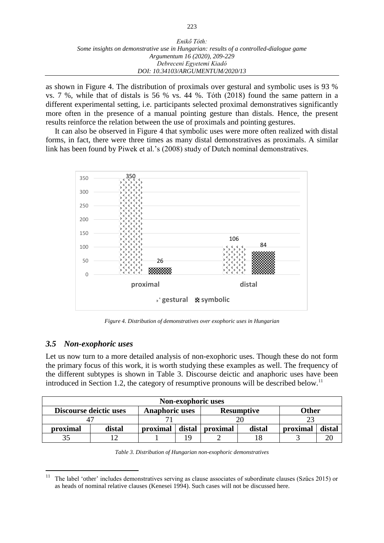| Enikő Tóth:                                                                            |
|----------------------------------------------------------------------------------------|
| Some insights on demonstrative use in Hungarian: results of a controlled-dialogue game |
| Argumentum 16 (2020), 209-229                                                          |
| Debreceni Egyetemi Kiadó                                                               |
| DOI: 10.34103/ARGUMENTUM/2020/13                                                       |

as shown in Figure 4. The distribution of proximals over gestural and symbolic uses is 93 % vs. 7 %, while that of distals is 56 % vs. 44 %. Tóth (2018) found the same pattern in a different experimental setting, i.e. participants selected proximal demonstratives significantly more often in the presence of a manual pointing gesture than distals. Hence, the present results reinforce the relation between the use of proximals and pointing gestures.

It can also be observed in Figure 4 that symbolic uses were more often realized with distal forms, in fact, there were three times as many distal demonstratives as proximals. A similar link has been found by Piwek et al.'s (2008) study of Dutch nominal demonstratives.



*Figure 4. Distribution of demonstratives over exophoric uses in Hungarian*

# *3.5 Non-exophoric uses*

 $\overline{a}$ 

Let us now turn to a more detailed analysis of non-exophoric uses. Though these do not form the primary focus of this work, it is worth studying these examples as well. The frequency of the different subtypes is shown in Table 3. Discourse deictic and anaphoric uses have been introduced in Section 1.2, the category of resumptive pronouns will be described below.<sup>11</sup>

| Non-exophoric uses |                               |                                            |        |          |        |          |        |  |  |
|--------------------|-------------------------------|--------------------------------------------|--------|----------|--------|----------|--------|--|--|
|                    | <b>Discourse deictic uses</b> | <b>Anaphoric uses</b><br><b>Resumptive</b> |        |          | Other  |          |        |  |  |
|                    |                               |                                            |        |          |        |          |        |  |  |
| proximal           | distal                        | proximal                                   | distal | proximal | distal | proximal | distal |  |  |
|                    |                               |                                            | 1 Q    |          |        |          |        |  |  |

*Table 3. Distribution of Hungarian non-exophoric demonstratives* 

<sup>&</sup>lt;sup>11</sup> The label 'other' includes demonstratives serving as clause associates of subordinate clauses (Szűcs 2015) or as heads of nominal relative clauses (Kenesei 1994). Such cases will not be discussed here.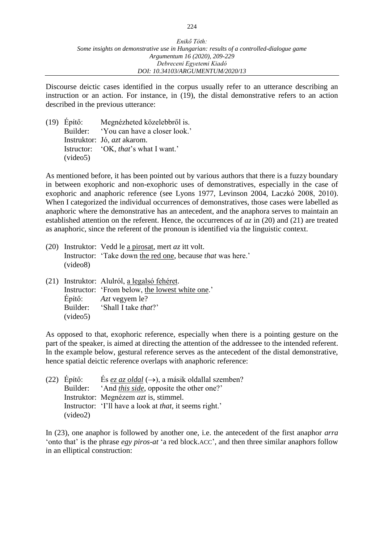Discourse deictic cases identified in the corpus usually refer to an utterance describing an instruction or an action. For instance, in (19), the distal demonstrative refers to an action described in the previous utterance:

| $(19)$ Epítő: | Megnézheted közelebbről is.            |
|---------------|----------------------------------------|
|               | Builder: 'You can have a closer look.' |
|               | Instruktor: Jó, <i>azt</i> akarom.     |
|               | Istructor: 'OK, that's what I want.'   |
| (video5)      |                                        |

As mentioned before, it has been pointed out by various authors that there is a fuzzy boundary in between exophoric and non-exophoric uses of demonstratives, especially in the case of exophoric and anaphoric reference (see Lyons 1977, Levinson 2004, Laczkó 2008, 2010). When I categorized the individual occurrences of demonstratives, those cases were labelled as anaphoric where the demonstrative has an antecedent, and the anaphora serves to maintain an established attention on the referent. Hence, the occurrences of *az* in (20) and (21) are treated as anaphoric, since the referent of the pronoun is identified via the linguistic context.

- (20) Instruktor: Vedd le a pirosat, mert *az* itt volt. Instructor: 'Take down the red one, because *that* was here.' (video8)
- (21) Instruktor: Alulról, a legalsó fehéret. Instructor: 'From below, the lowest white one.' Építő: *Azt* vegyem le? Builder: 'Shall I take *that*?' (video5)

As opposed to that, exophoric reference, especially when there is a pointing gesture on the part of the speaker, is aimed at directing the attention of the addressee to the intended referent. In the example below, gestural reference serves as the antecedent of the distal demonstrative, hence spatial deictic reference overlaps with anaphoric reference:

| $(22)$ Epítő: | Es ez az oldal $(\rightarrow)$ , a másik oldallal szemben?      |
|---------------|-----------------------------------------------------------------|
| Builder:      | 'And <i>this side</i> , opposite the other one?'                |
|               | Instruktor: Megnézem <i>azt</i> is, stimmel.                    |
|               | Instructor: 'I'll have a look at <i>that</i> , it seems right.' |
| (video2)      |                                                                 |

In (23), one anaphor is followed by another one, i.e. the antecedent of the first anaphor *arra*  'onto that' is the phrase *egy piros-at* 'a red block.ACC', and then three similar anaphors follow in an elliptical construction: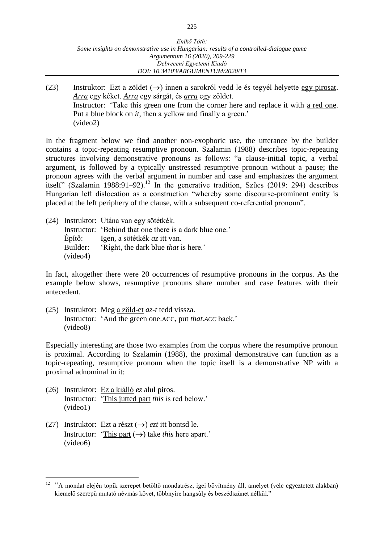| Enikő Tóth:                                                                            |
|----------------------------------------------------------------------------------------|
| Some insights on demonstrative use in Hungarian: results of a controlled-dialogue game |
| Argumentum 16 (2020), 209-229                                                          |
| Debreceni Egyetemi Kiadó                                                               |
| DOI: 10.34103/ARGUMENTUM/2020/13                                                       |

(23) Instruktor: Ezt a zöldet  $(\rightarrow)$  innen a sarokról vedd le és tegyél helyette egy pirosat. *Arra* egy kéket. *Arra* egy sárgát, és *arra* egy zöldet. Instructor: 'Take this green one from the corner here and replace it with a red one. Put a blue block on *it*, then a yellow and finally a green.' (video2)

In the fragment below we find another non-exophoric use, the utterance by the builder contains a topic-repeating resumptive pronoun. Szalamin (1988) describes topic-repeating structures involving demonstrative pronouns as follows: "a clause-initial topic, a verbal argument, is followed by a typically unstressed resumptive pronoun without a pause; the pronoun agrees with the verbal argument in number and case and emphasizes the argument itself" (Szalamin 1988:91–92).<sup>12</sup> In the generative tradition, Szűcs (2019: 294) describes Hungarian left dislocation as a construction "whereby some discourse-prominent entity is placed at the left periphery of the clause, with a subsequent co-referential pronoun".

|          | (24) Instruktor: Utána van egy sötétkék.                |
|----------|---------------------------------------------------------|
|          | Instructor: 'Behind that one there is a dark blue one.' |
| Epítő:   | Igen, a sötétkék <i>az</i> itt van.                     |
| Builder: | 'Right, the dark blue <i>that</i> is here.'             |
| (video4) |                                                         |

In fact, altogether there were 20 occurrences of resumptive pronouns in the corpus. As the example below shows, resumptive pronouns share number and case features with their antecedent.

(25) Instruktor: Meg a zöld-et *az-t* tedd vissza. Instructor: 'And the green one.ACC, put *that.ACC* back.' (video8)

Especially interesting are those two examples from the corpus where the resumptive pronoun is proximal. According to Szalamin (1988), the proximal demonstrative can function as a topic-repeating, resumptive pronoun when the topic itself is a demonstrative NP with a proximal adnominal in it:

- (26) Instruktor: Ez a kiálló *ez* alul piros. Instructor: 'This jutted part *this* is red below.' (video1)
- (27) Instruktor: Ezt a részt  $(\rightarrow)$  *ezt* itt bontsd le. Instructor: 'This part  $(\rightarrow)$  take *this* here apart.' (video6)

 $\overline{a}$ 

<sup>&</sup>lt;sup>12</sup> "A mondat elején topik szerepet betöltő mondatrész, igei bővítmény áll, amelyet (vele egyeztetett alakban) kiemelő szerepű mutató névmás követ, többnyire hangsúly és beszédszünet nélkül."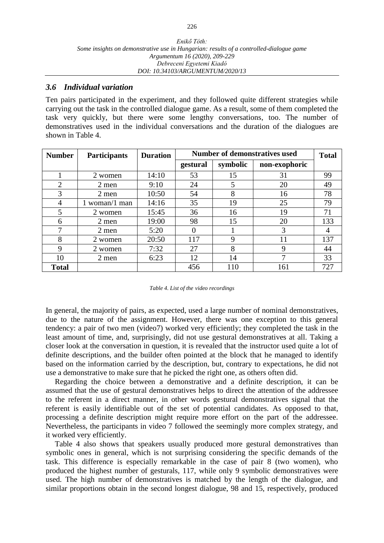### *3.6 Individual variation*

Ten pairs participated in the experiment, and they followed quite different strategies while carrying out the task in the controlled dialogue game. As a result, some of them completed the task very quickly, but there were some lengthy conversations, too. The number of demonstratives used in the individual conversations and the duration of the dialogues are shown in Table 4.

| <b>Number</b> | <b>Participants</b> | <b>Duration</b> | <b>Number of demonstratives used</b> |          |               | <b>Total</b> |
|---------------|---------------------|-----------------|--------------------------------------|----------|---------------|--------------|
|               |                     |                 | gestural                             | symbolic | non-exophoric |              |
|               | 2 women             | 14:10           | 53                                   | 15       | 31            | 99           |
| 2             | 2 men               | 9:10            | 24                                   | 5        | 20            | 49           |
| 3             | 2 men               | 10:50           | 54                                   | 8        | 16            | 78           |
| 4             | $1$ woman/ $1$ man  | 14:16           | 35                                   | 19       | 25            | 79           |
| 5             | 2 women             | 15:45           | 36                                   | 16       | 19            | 71           |
| 6             | 2 men               | 19:00           | 98                                   | 15       | 20            | 133          |
| 7             | 2 men               | 5:20            | 0                                    |          | 3             | 4            |
| 8             | 2 women             | 20:50           | 117                                  | 9        | 11            | 137          |
| 9             | 2 women             | 7:32            | 27                                   | 8        | 9             | 44           |
| 10            | 2 men               | 6:23            | 12                                   | 14       | 7             | 33           |
| <b>Total</b>  |                     |                 | 456                                  | 110      | 161           | 727          |

#### *Table 4. List of the video recordings*

In general, the majority of pairs, as expected, used a large number of nominal demonstratives, due to the nature of the assignment. However, there was one exception to this general tendency: a pair of two men (video7) worked very efficiently; they completed the task in the least amount of time, and, surprisingly, did not use gestural demonstratives at all. Taking a closer look at the conversation in question, it is revealed that the instructor used quite a lot of definite descriptions, and the builder often pointed at the block that he managed to identify based on the information carried by the description, but, contrary to expectations, he did not use a demonstrative to make sure that he picked the right one, as others often did.

Regarding the choice between a demonstrative and a definite description, it can be assumed that the use of gestural demonstratives helps to direct the attention of the addressee to the referent in a direct manner, in other words gestural demonstratives signal that the referent is easily identifiable out of the set of potential candidates. As opposed to that, processing a definite description might require more effort on the part of the addressee. Nevertheless, the participants in video 7 followed the seemingly more complex strategy, and it worked very efficiently.

Table 4 also shows that speakers usually produced more gestural demonstratives than symbolic ones in general, which is not surprising considering the specific demands of the task. This difference is especially remarkable in the case of pair 8 (two women), who produced the highest number of gesturals, 117, while only 9 symbolic demonstratives were used. The high number of demonstratives is matched by the length of the dialogue, and similar proportions obtain in the second longest dialogue, 98 and 15, respectively, produced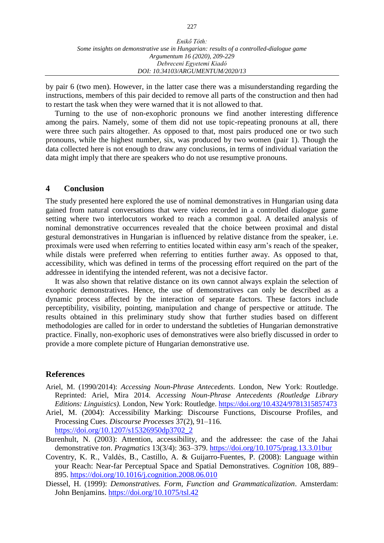| Enikő Tóth:                                                                            |
|----------------------------------------------------------------------------------------|
| Some insights on demonstrative use in Hungarian: results of a controlled-dialogue game |
| Argumentum 16 (2020), 209-229                                                          |
| Debreceni Egyetemi Kiadó                                                               |
| DOI: 10.34103/ARGUMENTUM/2020/13                                                       |

by pair 6 (two men). However, in the latter case there was a misunderstanding regarding the instructions, members of this pair decided to remove all parts of the construction and then had to restart the task when they were warned that it is not allowed to that.

Turning to the use of non-exophoric pronouns we find another interesting difference among the pairs. Namely, some of them did not use topic-repeating pronouns at all, there were three such pairs altogether. As opposed to that, most pairs produced one or two such pronouns, while the highest number, six, was produced by two women (pair 1). Though the data collected here is not enough to draw any conclusions, in terms of individual variation the data might imply that there are speakers who do not use resumptive pronouns.

### **4 Conclusion**

The study presented here explored the use of nominal demonstratives in Hungarian using data gained from natural conversations that were video recorded in a controlled dialogue game setting where two interlocutors worked to reach a common goal. A detailed analysis of nominal demonstrative occurrences revealed that the choice between proximal and distal gestural demonstratives in Hungarian is influenced by relative distance from the speaker, i.e. proximals were used when referring to entities located within easy arm's reach of the speaker, while distals were preferred when referring to entities further away. As opposed to that, accessibility, which was defined in terms of the processing effort required on the part of the addressee in identifying the intended referent, was not a decisive factor.

It was also shown that relative distance on its own cannot always explain the selection of exophoric demonstratives. Hence, the use of demonstratives can only be described as a dynamic process affected by the interaction of separate factors. These factors include perceptibility, visibility, pointing, manipulation and change of perspective or attitude. The results obtained in this preliminary study show that further studies based on different methodologies are called for in order to understand the subtleties of Hungarian demonstrative practice. Finally, non-exophoric uses of demonstratives were also briefly discussed in order to provide a more complete picture of Hungarian demonstrative use.

### **References**

- Ariel, M. (1990/2014): *Accessing Noun-Phrase Antecedents*. London, New York: Routledge. Reprinted: Ariel, Mira 2014. *Accessing Noun-Phrase Antecedents (Routledge Library Editions: Linguistics).* London, New York: Routledge. <https://doi.org/10.4324/9781315857473>
- Ariel, M. (2004): Accessibility Marking: Discourse Functions, Discourse Profiles, and Processing Cues. *Discourse Processes* 37(2), 91–116. [https://doi.org/10.1207/s15326950dp3702\\_2](https://doi.org/10.1207/s15326950dp3702_2)
- Burenhult, N. (2003): Attention, accessibility, and the addressee: the case of the Jahai demonstrative *ton*. *Pragmatics* 13(3/4): 363–379. <https://doi.org/10.1075/prag.13.3.01bur>
- Coventry, K. R., Valdés, B., Castillo, A. & Guijarro-Fuentes, P. (2008): Language within your Reach: Near-far Perceptual Space and Spatial Demonstratives. *Cognition* 108, 889– 895. <https://doi.org/10.1016/j.cognition.2008.06.010>
- Diessel, H. (1999): *Demonstratives. Form, Function and Grammaticalization*. Amsterdam: John Benjamins. <https://doi.org/10.1075/tsl.42>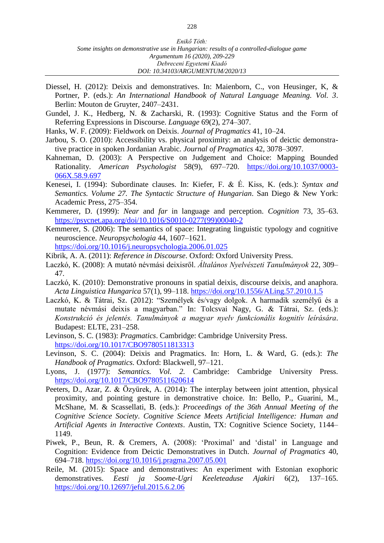- Diessel, H. (2012): Deixis and demonstratives. In: Maienborn, C., von Heusinger, K, & Portner, P. (eds.): *An International Handbook of Natural Language Meaning. Vol. 3*. Berlin: Mouton de Gruyter, 2407–2431.
- Gundel, J. K., Hedberg, N. & Zacharski, R. (1993): Cognitive Status and the Form of Referring Expressions in Discourse. *Language* 69(2), 274–307.
- Hanks, W. F. (2009): Fieldwork on Deixis. *Journal of Pragmatics* 41, 10–24.
- Jarbou, S. O. (2010): Accessibility vs. physical proximity: an analysis of deictic demonstrative practice in spoken Jordanian Arabic. *Journal of Pragmatics* 42, 3078–3097.
- Kahneman, D. (2003): A Perspective on Judgement and Choice: Mapping Bounded Rationality. *American Psychologist* 58(9), 697–720. [https://doi.org/10.1037/0003-](https://doi.org/10.1037/0003-066X.58.9.697) [066X.58.9.697](https://doi.org/10.1037/0003-066X.58.9.697)
- Kenesei, I. (1994): Subordinate clauses. In: Kiefer, F. & É. Kiss, K. (eds.): *Syntax and Semantics. Volume 27. The Syntactic Structure of Hungarian*. San Diego & New York: Academic Press, 275–354.
- Kemmerer, D. (1999): *Near* and *far* in language and perception. *Cognition* 73, 35–63. [https://psycnet.apa.org/doi/10.1016/S0010-0277\(99\)00040-2](https://psycnet.apa.org/doi/10.1016/S0010-0277(99)00040-2)
- Kemmerer, S. (2006): The semantics of space: Integrating linguistic typology and cognitive neuroscience. *Neuropsychologia* 44, 1607–1621.

<https://doi.org/10.1016/j.neuropsychologia.2006.01.025>

- Kibrik, A. A. (2011): *Reference in Discourse*. Oxford: Oxford University Press.
- Laczkó, K. (2008): A mutató névmási deixisről. *Általános Nyelvészeti Tanulmányok* 22, 309– 47.
- Laczkó, K. (2010): Demonstrative pronouns in spatial deixis, discourse deixis, and anaphora. *Acta Linguistica Hungarica* 57(1), 99–118.<https://doi.org/10.1556/ALing.57.2010.1.5>
- Laczkó, K. & Tátrai, Sz. (2012): "Személyek és/vagy dolgok. A harmadik személyű és a mutate névmási deixis a magyarban." In: Tolcsvai Nagy, G. & Tátrai, Sz. (eds.): *Konstrukció és jelentés. Tanulmányok a magyar nyelv funkcionális kognitív leírására*. Budapest: ELTE, 231–258.
- Levinson, S. C. (1983): *Pragmatics*. Cambridge: Cambridge University Press. <https://doi.org/10.1017/CBO9780511813313>
- Levinson, S. C. (2004): Deixis and Pragmatics. In: Horn, L. & Ward, G. (eds.): *The Handbook of Pragmatics.* Oxford: Blackwell, 97–121.
- Lyons, J. (1977): *Semantics. Vol. 2.* Cambridge: Cambridge University Press. <https://doi.org/10.1017/CBO9780511620614>
- Peeters, D., Azar, Z. & Özyürek, A. (2014): The interplay between joint attention, physical proximity, and pointing gesture in demonstrative choice. In: Bello, P., Guarini, M., McShane, M. & Scassellati, B. (eds.): *Proceedings of the 36th Annual Meeting of the Cognitive Science Society*. *Cognitive Science Meets Artificial Intelligence: Human and Artificial Agents in Interactive Contexts*. Austin, TX: Cognitive Science Society, 1144– 1149.
- Piwek, P., Beun, R. & Cremers, A. (2008): 'Proximal' and 'distal' in Language and Cognition: Evidence from Deictic Demonstratives in Dutch. *Journal of Pragmatics* 40, 694–718. <https://doi.org/10.1016/j.pragma.2007.05.001>
- Reile, M. (2015): Space and demonstratives: An experiment with Estonian exophoric demonstratives. *Eesti ja Soome-Ugri Keeleteaduse Ajakiri* 6(2), 137–165. <https://doi.org/10.12697/jeful.2015.6.2.06>